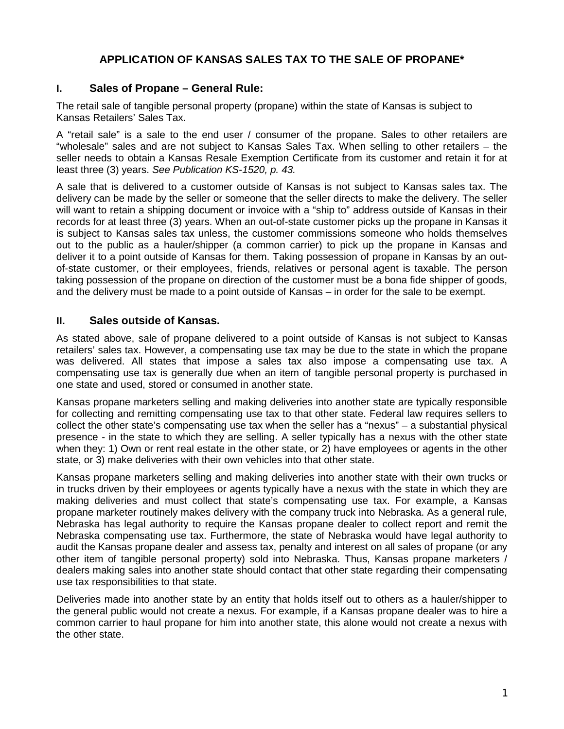# **APPLICATION OF KANSAS SALES TAX TO THE SALE OF PROPANE\***

## **I. Sales of Propane – General Rule:**

The retail sale of tangible personal property (propane) within the state of Kansas is subject to Kansas Retailers' Sales Tax.

A "retail sale" is a sale to the end user / consumer of the propane. Sales to other retailers are "wholesale" sales and are not subject to Kansas Sales Tax. When selling to other retailers – the seller needs to obtain a Kansas Resale Exemption Certificate from its customer and retain it for at least three (3) years. *See Publication KS-1520, p. 43.* 

A sale that is delivered to a customer outside of Kansas is not subject to Kansas sales tax. The delivery can be made by the seller or someone that the seller directs to make the delivery. The seller will want to retain a shipping document or invoice with a "ship to" address outside of Kansas in their records for at least three (3) years. When an out-of-state customer picks up the propane in Kansas it is subject to Kansas sales tax unless, the customer commissions someone who holds themselves out to the public as a hauler/shipper (a common carrier) to pick up the propane in Kansas and deliver it to a point outside of Kansas for them. Taking possession of propane in Kansas by an outof-state customer, or their employees, friends, relatives or personal agent is taxable. The person taking possession of the propane on direction of the customer must be a bona fide shipper of goods, and the delivery must be made to a point outside of Kansas – in order for the sale to be exempt.

## **II. Sales outside of Kansas.**

As stated above, sale of propane delivered to a point outside of Kansas is not subject to Kansas retailers' sales tax. However, a compensating use tax may be due to the state in which the propane was delivered. All states that impose a sales tax also impose a compensating use tax. A compensating use tax is generally due when an item of tangible personal property is purchased in one state and used, stored or consumed in another state.

Kansas propane marketers selling and making deliveries into another state are typically responsible for collecting and remitting compensating use tax to that other state. Federal law requires sellers to collect the other state's compensating use tax when the seller has a "nexus" – a substantial physical presence - in the state to which they are selling. A seller typically has a nexus with the other state when they: 1) Own or rent real estate in the other state, or 2) have employees or agents in the other state, or 3) make deliveries with their own vehicles into that other state.

Kansas propane marketers selling and making deliveries into another state with their own trucks or in trucks driven by their employees or agents typically have a nexus with the state in which they are making deliveries and must collect that state's compensating use tax. For example, a Kansas propane marketer routinely makes delivery with the company truck into Nebraska. As a general rule, Nebraska has legal authority to require the Kansas propane dealer to collect report and remit the Nebraska compensating use tax. Furthermore, the state of Nebraska would have legal authority to audit the Kansas propane dealer and assess tax, penalty and interest on all sales of propane (or any other item of tangible personal property) sold into Nebraska. Thus, Kansas propane marketers / dealers making sales into another state should contact that other state regarding their compensating use tax responsibilities to that state.

Deliveries made into another state by an entity that holds itself out to others as a hauler/shipper to the general public would not create a nexus. For example, if a Kansas propane dealer was to hire a common carrier to haul propane for him into another state, this alone would not create a nexus with the other state.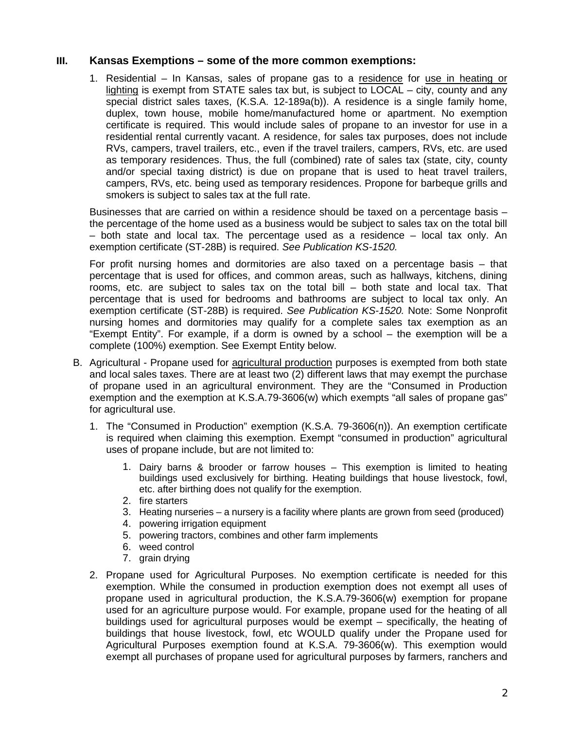### **III. Kansas Exemptions – some of the more common exemptions:**

1. Residential – In Kansas, sales of propane gas to a residence for use in heating or lighting is exempt from STATE sales tax but, is subject to LOCAL – city, county and any special district sales taxes, (K.S.A. 12-189a(b)). A residence is a single family home, duplex, town house, mobile home/manufactured home or apartment. No exemption certificate is required. This would include sales of propane to an investor for use in a residential rental currently vacant. A residence, for sales tax purposes, does not include RVs, campers, travel trailers, etc., even if the travel trailers, campers, RVs, etc. are used as temporary residences. Thus, the full (combined) rate of sales tax (state, city, county and/or special taxing district) is due on propane that is used to heat travel trailers, campers, RVs, etc. being used as temporary residences. Propone for barbeque grills and smokers is subject to sales tax at the full rate.

Businesses that are carried on within a residence should be taxed on a percentage basis – the percentage of the home used as a business would be subject to sales tax on the total bill  $-$  both state and local tax. The percentage used as a residence  $-$  local tax only. An exemption certificate (ST-28B) is required. *See Publication KS-1520.* 

For profit nursing homes and dormitories are also taxed on a percentage basis – that percentage that is used for offices, and common areas, such as hallways, kitchens, dining rooms, etc. are subject to sales tax on the total bill – both state and local tax. That percentage that is used for bedrooms and bathrooms are subject to local tax only. An exemption certificate (ST-28B) is required. *See Publication KS-1520.* Note: Some Nonprofit nursing homes and dormitories may qualify for a complete sales tax exemption as an "Exempt Entity". For example, if a dorm is owned by a school – the exemption will be a complete (100%) exemption. See Exempt Entity below.

- B. Agricultural Propane used for agricultural production purposes is exempted from both state and local sales taxes. There are at least two (2) different laws that may exempt the purchase of propane used in an agricultural environment. They are the "Consumed in Production exemption and the exemption at K.S.A.79-3606(w) which exempts "all sales of propane gas" for agricultural use.
	- 1. The "Consumed in Production" exemption (K.S.A. 79-3606(n)). An exemption certificate is required when claiming this exemption. Exempt "consumed in production" agricultural uses of propane include, but are not limited to:
		- 1. Dairy barns & brooder or farrow houses This exemption is limited to heating buildings used exclusively for birthing. Heating buildings that house livestock, fowl, etc. after birthing does not qualify for the exemption.
		- 2. fire starters
		- 3. Heating nurseries a nursery is a facility where plants are grown from seed (produced)
		- 4. powering irrigation equipment
		- 5. powering tractors, combines and other farm implements
		- 6. weed control
		- 7. grain drying
	- 2. Propane used for Agricultural Purposes. No exemption certificate is needed for this exemption. While the consumed in production exemption does not exempt all uses of propane used in agricultural production, the K.S.A.79-3606(w) exemption for propane used for an agriculture purpose would. For example, propane used for the heating of all buildings used for agricultural purposes would be exempt – specifically, the heating of buildings that house livestock, fowl, etc WOULD qualify under the Propane used for Agricultural Purposes exemption found at K.S.A. 79-3606(w). This exemption would exempt all purchases of propane used for agricultural purposes by farmers, ranchers and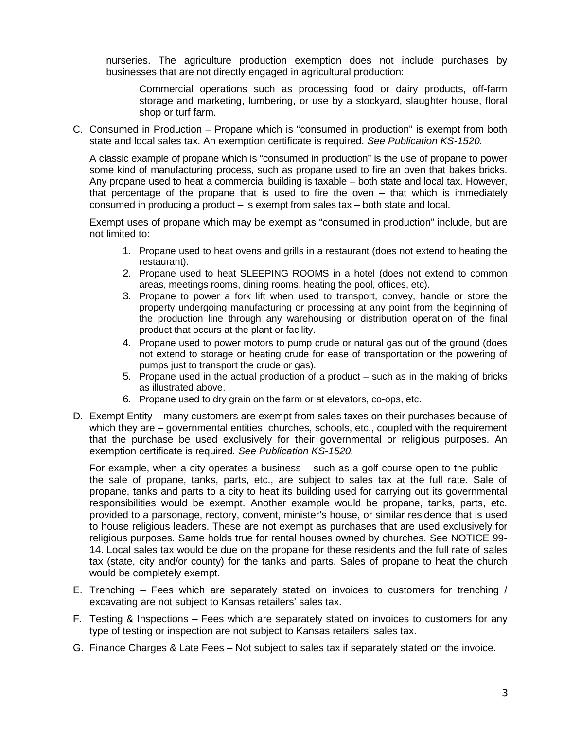nurseries. The agriculture production exemption does not include purchases by businesses that are not directly engaged in agricultural production:

Commercial operations such as processing food or dairy products, off-farm storage and marketing, lumbering, or use by a stockyard, slaughter house, floral shop or turf farm.

C. Consumed in Production – Propane which is "consumed in production" is exempt from both state and local sales tax. An exemption certificate is required. *See Publication KS-1520.* 

A classic example of propane which is "consumed in production" is the use of propane to power some kind of manufacturing process, such as propane used to fire an oven that bakes bricks. Any propane used to heat a commercial building is taxable – both state and local tax. However, that percentage of the propane that is used to fire the oven – that which is immediately consumed in producing a product – is exempt from sales tax – both state and local.

Exempt uses of propane which may be exempt as "consumed in production" include, but are not limited to:

- 1. Propane used to heat ovens and grills in a restaurant (does not extend to heating the restaurant).
- 2. Propane used to heat SLEEPING ROOMS in a hotel (does not extend to common areas, meetings rooms, dining rooms, heating the pool, offices, etc).
- 3. Propane to power a fork lift when used to transport, convey, handle or store the property undergoing manufacturing or processing at any point from the beginning of the production line through any warehousing or distribution operation of the final product that occurs at the plant or facility.
- 4. Propane used to power motors to pump crude or natural gas out of the ground (does not extend to storage or heating crude for ease of transportation or the powering of pumps just to transport the crude or gas).
- 5. Propane used in the actual production of a product such as in the making of bricks as illustrated above.
- 6. Propane used to dry grain on the farm or at elevators, co-ops, etc.
- D. Exempt Entity many customers are exempt from sales taxes on their purchases because of which they are – governmental entities, churches, schools, etc., coupled with the requirement that the purchase be used exclusively for their governmental or religious purposes. An exemption certificate is required. *See Publication KS-1520.*

For example, when a city operates a business  $-$  such as a golf course open to the public  $$ the sale of propane, tanks, parts, etc., are subject to sales tax at the full rate. Sale of propane, tanks and parts to a city to heat its building used for carrying out its governmental responsibilities would be exempt. Another example would be propane, tanks, parts, etc. provided to a parsonage, rectory, convent, minister's house, or similar residence that is used to house religious leaders. These are not exempt as purchases that are used exclusively for religious purposes. Same holds true for rental houses owned by churches. See NOTICE 99- 14. Local sales tax would be due on the propane for these residents and the full rate of sales tax (state, city and/or county) for the tanks and parts. Sales of propane to heat the church would be completely exempt.

- E. Trenching Fees which are separately stated on invoices to customers for trenching  $/$ excavating are not subject to Kansas retailers' sales tax.
- F. Testing & Inspections Fees which are separately stated on invoices to customers for any type of testing or inspection are not subject to Kansas retailers' sales tax.
- G. Finance Charges & Late Fees Not subject to sales tax if separately stated on the invoice.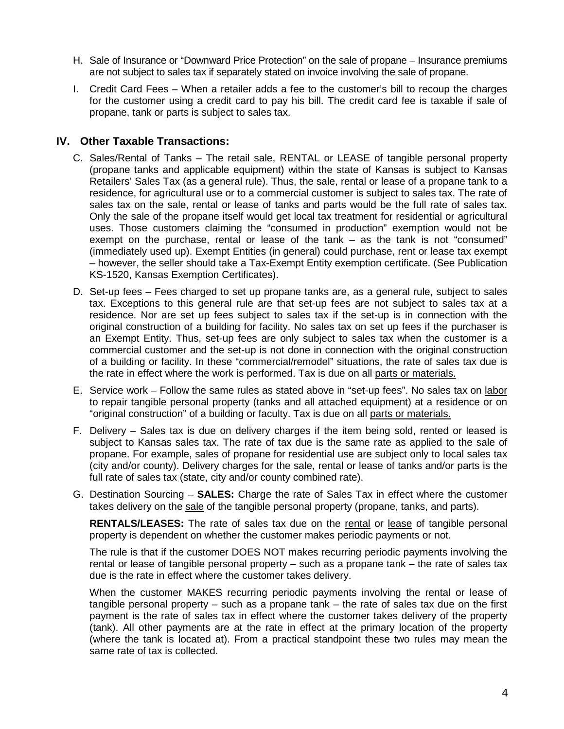- H. Sale of Insurance or "Downward Price Protection" on the sale of propane Insurance premiums are not subject to sales tax if separately stated on invoice involving the sale of propane.
- I. Credit Card Fees When a retailer adds a fee to the customer's bill to recoup the charges for the customer using a credit card to pay his bill. The credit card fee is taxable if sale of propane, tank or parts is subject to sales tax.

### **IV. Other Taxable Transactions:**

- C. Sales/Rental of Tanks The retail sale, RENTAL or LEASE of tangible personal property (propane tanks and applicable equipment) within the state of Kansas is subject to Kansas Retailers' Sales Tax (as a general rule). Thus, the sale, rental or lease of a propane tank to a residence, for agricultural use or to a commercial customer is subject to sales tax. The rate of sales tax on the sale, rental or lease of tanks and parts would be the full rate of sales tax. Only the sale of the propane itself would get local tax treatment for residential or agricultural uses. Those customers claiming the "consumed in production" exemption would not be exempt on the purchase, rental or lease of the tank – as the tank is not "consumed" (immediately used up). Exempt Entities (in general) could purchase, rent or lease tax exempt – however, the seller should take a Tax-Exempt Entity exemption certificate. (See Publication KS-1520, Kansas Exemption Certificates).
- D. Set-up fees Fees charged to set up propane tanks are, as a general rule, subject to sales tax. Exceptions to this general rule are that set-up fees are not subject to sales tax at a residence. Nor are set up fees subject to sales tax if the set-up is in connection with the original construction of a building for facility. No sales tax on set up fees if the purchaser is an Exempt Entity. Thus, set-up fees are only subject to sales tax when the customer is a commercial customer and the set-up is not done in connection with the original construction of a building or facility. In these "commercial/remodel" situations, the rate of sales tax due is the rate in effect where the work is performed. Tax is due on all parts or materials.
- E. Service work Follow the same rules as stated above in "set-up fees". No sales tax on labor to repair tangible personal property (tanks and all attached equipment) at a residence or on "original construction" of a building or faculty. Tax is due on all parts or materials.
- F. Delivery Sales tax is due on delivery charges if the item being sold, rented or leased is subject to Kansas sales tax. The rate of tax due is the same rate as applied to the sale of propane. For example, sales of propane for residential use are subject only to local sales tax (city and/or county). Delivery charges for the sale, rental or lease of tanks and/or parts is the full rate of sales tax (state, city and/or county combined rate).
- G. Destination Sourcing **SALES:** Charge the rate of Sales Tax in effect where the customer takes delivery on the sale of the tangible personal property (propane, tanks, and parts).

**RENTALS/LEASES:** The rate of sales tax due on the rental or lease of tangible personal property is dependent on whether the customer makes periodic payments or not.

The rule is that if the customer DOES NOT makes recurring periodic payments involving the rental or lease of tangible personal property – such as a propane tank – the rate of sales tax due is the rate in effect where the customer takes delivery.

When the customer MAKES recurring periodic payments involving the rental or lease of tangible personal property – such as a propane tank – the rate of sales tax due on the first payment is the rate of sales tax in effect where the customer takes delivery of the property (tank). All other payments are at the rate in effect at the primary location of the property (where the tank is located at). From a practical standpoint these two rules may mean the same rate of tax is collected.